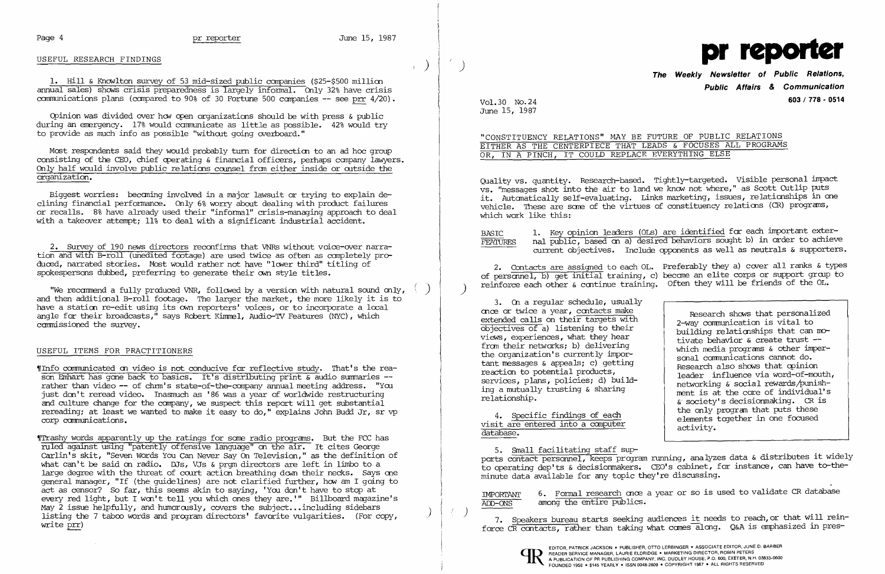## USEFUL RESEARCH FINDINGS

1. Hill & Knowlton survey of 53 mid-sized public companies (\$25-\$500 million annual sales) shows crisis preparedness is largely informal. Only 32% have crisis communications plans (compared to 90% of 30 Fortune 500 companies  $-$  see prr  $4/20$ ).

Cpinion was divided over hew cpen organizations should be with press & public during an emergency. 17% would communicate as little as possible. 42% would try to provide as much info as possible "without going overboard."

Most respondents said they would probably turn for direction to an ad hoc group consisting of the CEO, chief operating  $\&$  financial officers, perhaps company lawyers. Only half would involve public relations camsel fran either inside or ootside the organization.

2. Survey of 190 news directors reconfinns that VNRs without voice-over narration and with B-roll (unedited footage) are used twice as often as carrpletely produced, narrated stories. Most would rather not have "lower third" titling of spokespersons dubbed, preferring to generate their own style titles.

"We recommend a fully produced VNR, followed by a version with natural sound only, and then additional B-roll footage. The larger the market, the more likely it is to have a station re-edit using its own reporters' voices, or to incorporate a local angle for their broadcasts," says Robert Kimmel, Audio-TV Features (NYC), which carmissioned the survey.

~rInfo canmunicated m video is not conducive for reflective study. That's the reason Emhart has gone back to basics. It's distributing print & audio sumnaries rather than video -- of chmm's state-of-the-company annual meeting address. "You just don't reread video. Inasmuch as '86 was a year of worldwide restructuring and culture change for the conpany, we suspect this report will get substantial rereading; at least we wanted to make it easy to do," explains John Budd Jr, sr vp corp communications.

Biggest worries: becaning involved in a major lawsuit or trying to explain declining financial performance. Only 6% worry about dealing with product failures or recalls. 8% have already used their "infonnal" crisis-managing approach to deal with a takeover attempt; 11% to deal with a significant industrial accident.

"CONSTITUENCY RELATIONS" MAY BE FUTURE OF PUBLIC RELATIONS EITHER AS THE CENTERPIECE THAT LEADS & FOCUSES ALL PROGRAMS OR, IN A PINCH, IT COULD REPLACE EVERYTHING ELSE

### USEFUL ITEMS FOR PRACTITIONERS

Quality vs. quantity. Research-based. Tightly-targeted. Visible personal impact vs, "messages shot into the air to land we kno» not where," as Scott Cutlip puts it. Automatically self-evaluating. Links marketing, issues, relationships in one vehicle. These are sane of the virtues of constituency relatims (CR) programs, which work like this:

BASIC 1. Key opinion leaders (OLs) are identified for each important exter-<br>FEATURES nal public, based on a) desired behaviors sought b) in order to achieve nal public, based on a) desired behaviors sought b) in order to achieve current objectives. Include opponents as well as neutrals & supporters.

2. Contacts are assigned to each OL. Preferably they a) cover all ranks & types of personnel, b) get initial training, c) become an elite corps or support group to ) reinforce each other & continue training. Often they will be friends of the OL.

3. On a regular schedule, usually cnce cr twice a year, Caltacts make extended calls on their targets with objectives of a) listening to their views, experiences, what they hear from their networks; b) delivering the organization's currently important messages & appeals; c) getting reaction to potential products, services, plans, policies; d) building a mutually trusting & sharing relationship.

~rTrashy words apparently up the ratings for sorre radio programs. But the FCC has ruled against using "patently offensive language" on the air. It cites George carlin's skit, "Seven Words You Can Never Say On Television," as the definition of what can't be said on radio. DJs, VJs & prom directors are left in limbo to a large degree with the threat of court action breathing down their necks. Says one general manager, "If (the guidelines) are not clarified further, how am I going to act as censor? So far, this seems akin to saying, 'You don't have to stop at every red light, but I won't tell you which ones they are.'" Billboard magazine's May 2 issue helpfully, and humorously, covers the subject...including sidebars listing the 7 taboo words and program directors' favorite vulgarities. (For copy, write prr)

IMPORTANT 6. F<u>ormal research</u> once a year or so is used to validate CR database IMPORTANT ADD-ONS among the entire publics.

) 7. Speakers bureau starts seeking audiences it needs to reach, or that will reinforce CR contacts, rather than taking what comes along. Q&A is emphasized in pres-

 $\int_{\gamma}$ 



# **The Weekly Newsletter of Public Relations, Public Affairs & Communication**  Vol. 30 No. 24 **603/778 - <sup>0514</sup>**

June 15, 1987

4. Specific findings of each visit are entered into a canputer database.

Research shows that personalized 2-way communication is vital to building relationships that can motivate behavior & create trust  which media prograns & other impersonal communications cannot do. Research also shows that opinion leader influence via word-of-mouth, networking & social rewards/punishment is at the core of individual's &. society's decisionmaking. CR is the only progran that puts these elements together in one focused activity.

5. Small facilitating staff supports contact persormel, keeps projram running, analyzes data & distributes it widely to operating dep'ts & decisionmakers. CEO's cabinet, for instance, can have to-theminute data available for any topic they're discussing.